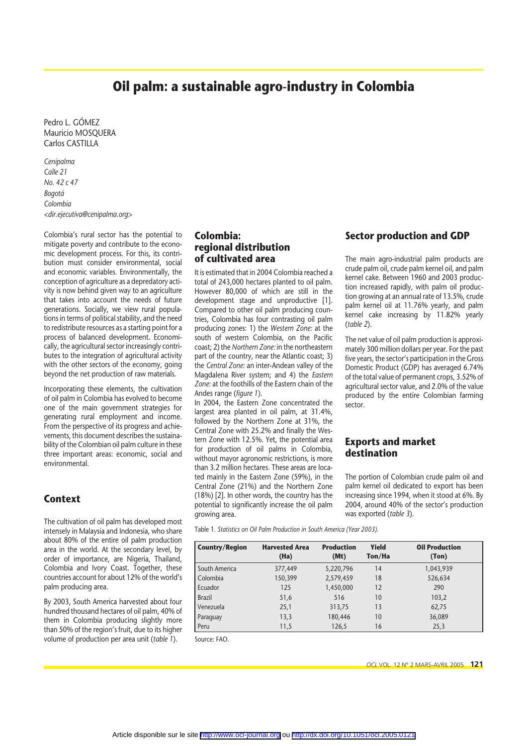# **Oil palm: a sustainable agro-industry in Colombia**

Pedro L. GÓMEZ Mauricio MOSQUERA Carlos CASTILLA

*Cenipalma Calle 21 No. 42 c 47 Bogotá Colombia <dir.ejecutiva@cenipalma.org>*

Colombia's rural sector has the potential to mitigate poverty and contribute to the economic development process. For this, its contribution must consider environmental, social and economic variables. Environmentally, the conception of agriculture as a depredatory activity is now behind given way to an agriculture that takes into account the needs of future generations. Socially, we view rural populations in terms of political stability, and the need to redistribute resources as a starting point for a process of balanced development. Economically, the agricultural sector increasingly contributes to the integration of agricultural activity with the other sectors of the economy, going beyond the net production of raw materials.

Incorporating these elements, the cultivation of oil palm in Colombia has evolved to become one of the main government strategies for generating rural employment and income. From the perspective of its progress and achievements, this document describes the sustainability of the Colombian oil palm culture in these three important areas: economic, social and environmental.

## **Context**

The cultivation of oil palm has developed most intensely in Malaysia and Indonesia, who share about 80% of the entire oil palm production area in the world. At the secondary level, by order of importance, are Nigeria, Thailand, Colombia and Ivory Coast. Together, these countries account for about 12% of the world's palm producing area.

By 2003, South America harvested about four hundred thousand hectares of oil palm, 40% of them in Colombia producing slightly more than 50% of the region's fruit, due to its higher volume of production per area unit (*table 1*).

### **Colombia: regional distribution of cultivated area**

It is estimated that in 2004 Colombia reached a total of 243,000 hectares planted to oil palm. However 80,000 of which are still in the development stage and unproductive [1]. Compared to other oil palm producing countries, Colombia has four contrasting oil palm producing zones: 1) the *Western Zone:* at the south of western Colombia, on the Pacific coast; 2) the *Northern Zone:* in the northeastern part of the country, near the Atlantic coast; 3) the *Central Zone:* an inter-Andean valley of the Magdalena River system; and 4) the *Eastern Zone:* at the foothills of the Eastern chain of the Andes range (*figure 1*).

In 2004, the Eastern Zone concentrated the largest area planted in oil palm, at 31.4%, followed by the Northern Zone at 31%, the Central Zone with 25.2% and finally the Western Zone with 12.5%. Yet, the potential area for production of oil palms in Colombia, without mayor agronomic restrictions, is more than 3.2 million hectares. These areas are located mainly in the Eastern Zone (59%), in the Central Zone (21%) and the Northern Zone (18%) [2]. In other words, the country has the potential to significantly increase the oil palm growing area.

Table 1*. Statistics on Oil Palm Production in South America (Year 2003).*

#### **Country/Region Harvested Area (Ha) Production (Mt) Yield Ton/Ha Oil Production (Ton)** South America 377,449 5,220,796 14 1,043,939 Colombia 150,399 2,579,459 18 526,634 Ecuador 125 1,450,000 12 290 Brazil 51,6 516 10 103,2 Venezuela 25,1 313,75 13 62,75 Paraguay 13,3 180,446 10 36,089 13,3 180,446 10 36,089 Peru 11,5 126,5 16 25,3

Source: FAO.

#### *OCL* VOL. 12 N° 2 MARS-AVRIL 2005 **121**

### **Sector production and GDP**

The main agro-industrial palm products are crude palm oil, crude palm kernel oil, and palm kernel cake. Between 1960 and 2003 production increased rapidly, with palm oil production growing at an annual rate of 13.5%, crude palm kernel oil at 11.76% yearly, and palm kernel cake increasing by 11.82% yearly (*table 2*).

The net value of oil palm production is approximately 300 million dollars per year. For the past five years, the sector's participation in the Gross Domestic Product (GDP) has averaged 6.74% of the total value of permanent crops, 3.52% of agricultural sector value, and 2.0% of the value produced by the entire Colombian farming sector.

#### **Exports and market destination**

The portion of Colombian crude palm oil and palm kernel oil dedicated to export has been increasing since 1994, when it stood at 6%. By 2004, around 40% of the sector's production was exported (*table 3*).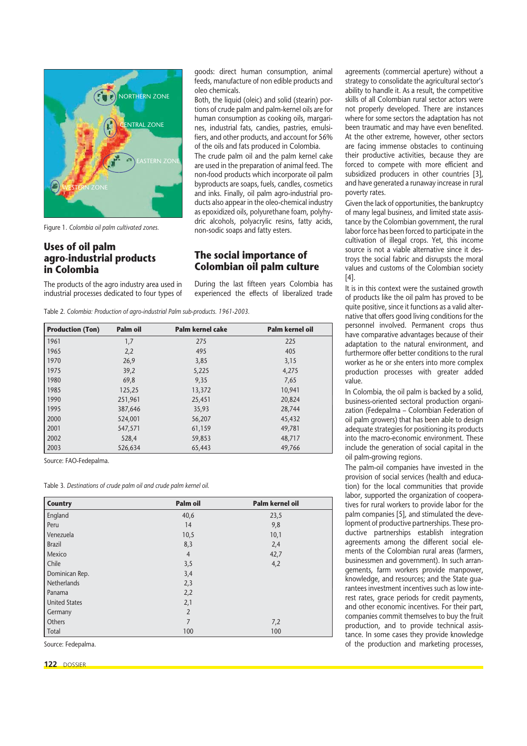

Figure 1. *Colombia oil palm cultivated zones.*

### **Uses of oil palm agro-industrial products in Colombia**

The products of the agro industry area used in industrial processes dedicated to four types of goods: direct human consumption, animal feeds, manufacture of non edible products and oleo chemicals.

Both, the liquid (oleic) and solid (stearin) portions of crude palm and palm-kernel oils are for human consumption as cooking oils, margarines, industrial fats, candies, pastries, emulsifiers, and other products, and account for 56% of the oils and fats produced in Colombia.

The crude palm oil and the palm kernel cake are used in the preparation of animal feed. The non-food products which incorporate oil palm byproducts are soaps, fuels, candles, cosmetics and inks. Finally, oil palm agro-industrial products also appear in the oleo-chemical industry as epoxidized oils, polyurethane foam, polyhydric alcohols, polyacrylic resins, fatty acids, non-sodic soaps and fatty esters.

### **The social importance of Colombian oil palm culture**

During the last fifteen years Colombia has experienced the effects of liberalized trade

Table 2*. Colombia: Production of agro-industrial Palm sub-products. 1961-2003.*

| <b>Production (Ton)</b> | <b>Palm oil</b> | <b>Palm kernel cake</b> | <b>Palm kernel oil</b> |
|-------------------------|-----------------|-------------------------|------------------------|
| 1961                    | 1,7             | 275                     | 225                    |
| 1965                    | 2,2             | 495                     | 405                    |
| 1970                    | 26,9            | 3,85                    | 3,15                   |
| 1975                    | 39,2            | 5,225                   | 4,275                  |
| 1980                    | 69,8            | 9,35                    | 7,65                   |
| 1985                    | 125,25          | 13,372                  | 10,941                 |
| 1990                    | 251,961         | 25,451                  | 20,824                 |
| 1995                    | 387,646         | 35,93                   | 28,744                 |
| 2000                    | 524,001         | 56,207                  | 45,432                 |
| 2001                    | 547,571         | 61,159                  | 49,781                 |
| 2002                    | 528,4           | 59,853                  | 48,717                 |
| 2003                    | 526,634         | 65,443                  | 49,766                 |

Source: FAO-Fedepalma.

Table 3*. Destinations of crude palm oil and crude palm kernel oil.*

| Country              | Palm oil       | <b>Palm kernel oil</b> |  |
|----------------------|----------------|------------------------|--|
| England              | 40,6           | 23,5                   |  |
| Peru                 | 14             | 9,8                    |  |
| Venezuela            | 10,5           | 10,1                   |  |
| <b>Brazil</b>        | 8,3            | 2,4                    |  |
| <b>Mexico</b>        | $\overline{4}$ | 42,7                   |  |
| Chile                | 3,5            | 4,2                    |  |
| Dominican Rep.       | 3,4            |                        |  |
| Netherlands          | 2,3            |                        |  |
| Panama               | 2,2            |                        |  |
| <b>United States</b> | 2,1            |                        |  |
| Germany              | $\overline{2}$ |                        |  |
| Others               | 7              | 7,2                    |  |
| Total                | 100            | 100                    |  |

Source: Fedepalma.

agreements (commercial aperture) without a strategy to consolidate the agricultural sector's ability to handle it. As a result, the competitive skills of all Colombian rural sector actors were not properly developed. There are instances where for some sectors the adaptation has not been traumatic and may have even benefited. At the other extreme, however, other sectors are facing immense obstacles to continuing their productive activities, because they are forced to compete with more efficient and subsidized producers in other countries [3], and have generated a runaway increase in rural poverty rates.

Given the lack of opportunities, the bankruptcy of many legal business, and limited state assistance by the Colombian government, the rural labor force has been forced to participate in the cultivation of illegal crops. Yet, this income source is not a viable alternative since it destroys the social fabric and disrupsts the moral values and customs of the Colombian society [4].

It is in this context were the sustained growth of products like the oil palm has proved to be quite positive, since it functions as a valid alternative that offers good living conditions for the personnel involved. Permanent crops thus have comparative advantages because of their adaptation to the natural environment, and furthermore offer better conditions to the rural worker as he or she enters into more complex production processes with greater added value.

In Colombia, the oil palm is backed by a solid, business-oriented sectoral production organization (Fedepalma – Colombian Federation of oil palm growers) that has been able to design adequate strategies for positioning its products into the macro-economic environment. These include the generation of social capital in the oil palm-growing regions.

The palm-oil companies have invested in the provision of social services (health and education) for the local communities that provide labor, supported the organization of cooperatives for rural workers to provide labor for the palm companies [5], and stimulated the development of productive partnerships. These productive partnerships establish integration agreements among the different social elements of the Colombian rural areas (farmers, businessmen and government). In such arrangements, farm workers provide manpower, knowledge, and resources; and the State guarantees investment incentives such as low interest rates, grace periods for credit payments, and other economic incentives. For their part, companies commit themselves to buy the fruit production, and to provide technical assistance. In some cases they provide knowledge of the production and marketing processes,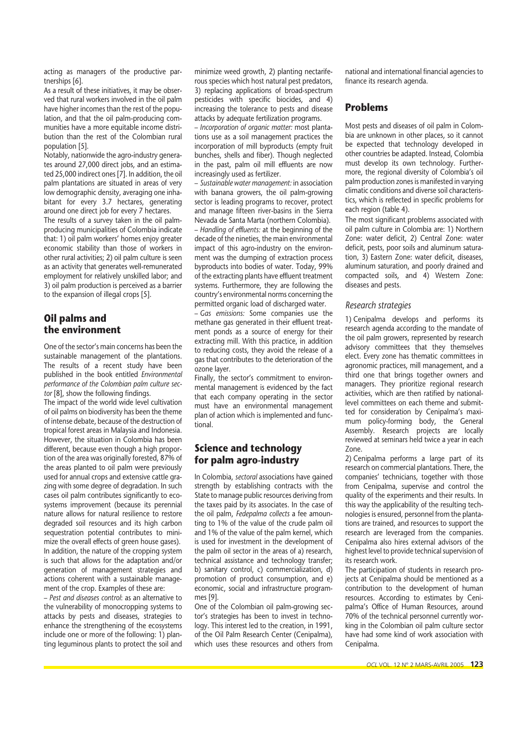acting as managers of the productive partnerships [6].

As a result of these initiatives, it may be observed that rural workers involved in the oil palm have higher incomes than the rest of the population, and that the oil palm-producing communities have a more equitable income distribution than the rest of the Colombian rural population [5].

Notably, nationwide the agro-industry generates around 27,000 direct jobs, and an estimated 25,000 indirect ones [7]. In addition, the oil palm plantations are situated in areas of very low demographic density, averaging one inhabitant for every 3.7 hectares, generating around one direct job for every 7 hectares. The results of a survey taken in the oil palm-

producing municipalities of Colombia indicate that: 1) oil palm workers' homes enjoy greater economic stability than those of workers in other rural activities; 2) oil palm culture is seen as an activity that generates well-remunerated employment for relatively unskilled labor; and 3) oil palm production is perceived as a barrier to the expansion of illegal crops [5].

### **Oil palms and the environment**

One of the sector's main concerns has been the sustainable management of the plantations. The results of a recent study have been published in the book entitled *Environmental performance of the Colombian palm culture sector* [8], show the following findings.

The impact of the world wide level cultivation of oil palms on biodiversity has been the theme of intense debate, because of the destruction of tropical forest areas in Malaysia and Indonesia. However, the situation in Colombia has been different, because even though a high proportion of the area was originally forested, 87% of the areas planted to oil palm were previously used for annual crops and extensive cattle grazing with some degree of degradation. In such cases oil palm contributes significantly to ecosystems improvement (because its perennial nature allows for natural resilience to restore degraded soil resources and its high carbon sequestration potential contributes to minimize the overall effects of green house gases). In addition, the nature of the cropping system is such that allows for the adaptation and/or generation of management strategies and actions coherent with a sustainable management of the crop. Examples of these are:

– *Pest and diseases control*: as an alternative to the vulnerability of monocropping systems to attacks by pests and diseases, strategies to enhance the strengthening of the ecosystems include one or more of the following: 1) planting leguminous plants to protect the soil and minimize weed growth, 2) planting nectariferous species which host natural pest predators, 3) replacing applications of broad-spectrum pesticides with specific biocides, and 4) increasing the tolerance to pests and disease attacks by adequate fertilization programs.

– *Incorporation of organic matter:* most plantations use as a soil management practices the incorporation of mill byproducts (empty fruit bunches, shells and fiber). Though neglected in the past, palm oil mill effluents are now increasingly used as fertilizer.

– *Sustainable water management:* in association with banana growers, the oil palm-growing sector is leading programs to recover, protect and manage fifteen river-basins in the Sierra Nevada de Santa Marta (northern Colombia).

– *Handling of effluents:* at the beginning of the decade of the nineties, the main environmental impact of this agro-industry on the environment was the dumping of extraction process byproducts into bodies of water. Today, 99% of the extracting plants have effluent treatment systems. Furthermore, they are following the country's environmental norms concerning the permitted organic load of discharged water.

– *Gas emissions:* Some companies use the methane gas generated in their effluent treatment ponds as a source of energy for their extracting mill. With this practice, in addition to reducing costs, they avoid the release of a gas that contributes to the deterioration of the ozone layer.

Finally, the sector's commitment to environmental management is evidenced by the fact that each company operating in the sector must have an environmental management plan of action which is implemented and functional.

### **Science and technology for palm agro-industry**

In Colombia, *sectoral* associations have gained strength by establishing contracts with the State to manage public resources deriving from the taxes paid by its associates. In the case of the oil palm, *Fedepalma collects* a fee amounting to 1% of the value of the crude palm oil and 1% of the value of the palm kernel, which is used for investment in the development of the palm oil sector in the areas of a) research, technical assistance and technology transfer; b) sanitary control, c) commercialization, d) promotion of product consumption, and e) economic, social and infrastructure programmes [9].

One of the Colombian oil palm-growing sector's strategies has been to invest in technology. This interest led to the creation, in 1991, of the Oil Palm Research Center (Cenipalma), which uses these resources and others from national and international financial agencies to finance its research agenda.

### **Problems**

Most pests and diseases of oil palm in Colombia are unknown in other places, so it cannot be expected that technology developed in other countries be adapted. Instead, Colombia must develop its own technology. Furthermore, the regional diversity of Colombia's oil palm production zones is manifested in varying climatic conditions and diverse soil characteristics, which is reflected in specific problems for each region (table 4).

The most significant problems associated with oil palm culture in Colombia are: 1) Northern Zone: water deficit, 2) Central Zone: water deficit, pests, poor soils and aluminum saturation, 3) Eastern Zone: water deficit, diseases, aluminum saturation, and poorly drained and compacted soils, and 4) Western Zone: diseases and pests.

#### *Research strategies*

1) Cenipalma develops and performs its research agenda according to the mandate of the oil palm growers, represented by research advisory committees that they themselves elect. Every zone has thematic committees in agronomic practices, mill management, and a third one that brings together owners and managers. They prioritize regional research activities, which are then ratified by nationallevel committees on each theme and submitted for consideration by Cenipalma's maximum policy-forming body, the General Assembly. Research projects are locally reviewed at seminars held twice a year in each Zone.

2) Cenipalma performs a large part of its research on commercial plantations. There, the companies' technicians, together with those from Cenipalma, supervise and control the quality of the experiments and their results. In this way the applicability of the resulting technologies is ensured, personnel from the plantations are trained, and resources to support the research are leveraged from the companies. Cenipalma also hires external advisors of the highest level to provide technical supervision of its research work.

The participation of students in research projects at Cenipalma should be mentioned as a contribution to the development of human resources. According to estimates by Cenipalma's Office of Human Resources, around 70% of the technical personnel currently working in the Colombian oil palm culture sector have had some kind of work association with Cenipalma.